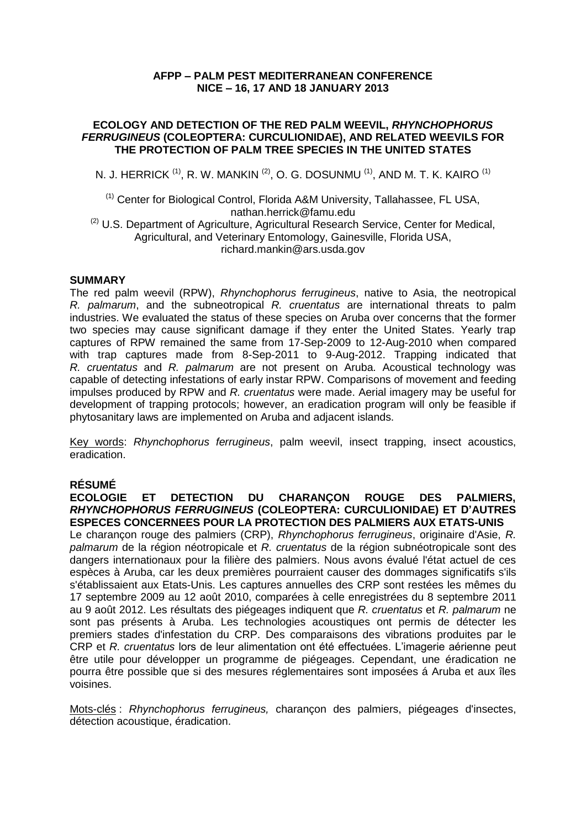# **AFPP – PALM PEST MEDITERRANEAN CONFERENCE NICE – 16, 17 AND 18 JANUARY 2013**

### **ECOLOGY AND DETECTION OF THE RED PALM WEEVIL,** *RHYNCHOPHORUS FERRUGINEUS* **(COLEOPTERA: CURCULIONIDAE), AND RELATED WEEVILS FOR THE PROTECTION OF PALM TREE SPECIES IN THE UNITED STATES**

N. J. HERRICK  $^{\text{\tiny{(1)}}},$  R. W. MANKIN  $^{\text{\tiny{(2)}}},$  O. G. DOSUNMU  $^{\text{\tiny{(1)}}},$  AND M. T. K. KAIRO  $^{\text{\tiny{(1)}}}$ 

(1) Center for Biological Control, Florida A&M University, Tallahassee, FL USA, nathan.herrick@famu.edu

<sup>(2)</sup> U.S. Department of Agriculture, Agricultural Research Service, Center for Medical, Agricultural, and Veterinary Entomology, Gainesville, Florida USA, richard.mankin@ars.usda.gov

### **SUMMARY**

The red palm weevil (RPW), *Rhynchophorus ferrugineus*, native to Asia, the neotropical *R. palmarum*, and the subneotropical *R. cruentatus* are international threats to palm industries. We evaluated the status of these species on Aruba over concerns that the former two species may cause significant damage if they enter the United States. Yearly trap captures of RPW remained the same from 17-Sep-2009 to 12-Aug-2010 when compared with trap captures made from 8-Sep-2011 to 9-Aug-2012. Trapping indicated that *R. cruentatus* and *R. palmarum* are not present on Aruba. Acoustical technology was capable of detecting infestations of early instar RPW. Comparisons of movement and feeding impulses produced by RPW and *R. cruentatus* were made. Aerial imagery may be useful for development of trapping protocols; however, an eradication program will only be feasible if phytosanitary laws are implemented on Aruba and adjacent islands.

Key words: *Rhynchophorus ferrugineus*, palm weevil, insect trapping, insect acoustics, eradication.

# **RÉSUMÉ**

**ECOLOGIE ET DETECTION DU CHARANÇON ROUGE DES PALMIERS,**  *RHYNCHOPHORUS FERRUGINEUS* **(COLEOPTERA: CURCULIONIDAE) ET D'AUTRES ESPECES CONCERNEES POUR LA PROTECTION DES PALMIERS AUX ETATS-UNIS**

Le charançon rouge des palmiers (CRP), *Rhynchophorus ferrugineus*, originaire d'Asie, *R. palmarum* de la région néotropicale et *R. cruentatus* de la région subnéotropicale sont des dangers internationaux pour la filière des palmiers. Nous avons évalué l'état actuel de ces espèces à Aruba, car les deux premières pourraient causer des dommages significatifs s'ils s'établissaient aux Etats-Unis. Les captures annuelles des CRP sont restées les mêmes du 17 septembre 2009 au 12 août 2010, comparées à celle enregistrées du 8 septembre 2011 au 9 août 2012. Les résultats des piégeages indiquent que *R. cruentatus* et *R. palmarum* ne sont pas présents à Aruba. Les technologies acoustiques ont permis de détecter les premiers stades d'infestation du CRP. Des comparaisons des vibrations produites par le CRP et *R. cruentatus* lors de leur alimentation ont été effectuées. L'imagerie aérienne peut être utile pour développer un programme de piégeages. Cependant, une éradication ne pourra être possible que si des mesures réglementaires sont imposées á Aruba et aux îles voisines.

Mots-clés : *Rhynchophorus ferrugineus,* charançon des palmiers, piégeages d'insectes, détection acoustique, éradication.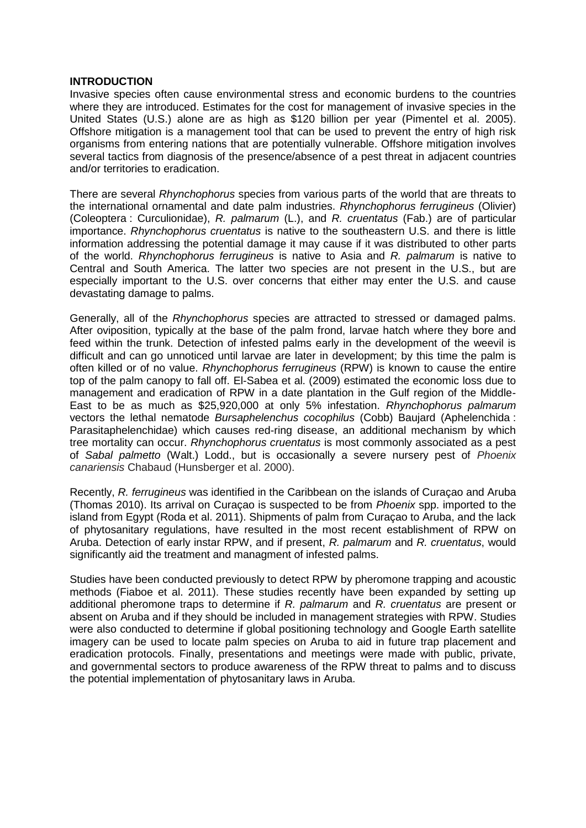#### **INTRODUCTION**

Invasive species often cause environmental stress and economic burdens to the countries where they are introduced. Estimates for the cost for management of invasive species in the United States (U.S.) alone are as high as \$120 billion per year (Pimentel et al. 2005). Offshore mitigation is a management tool that can be used to prevent the entry of high risk organisms from entering nations that are potentially vulnerable. Offshore mitigation involves several tactics from diagnosis of the presence/absence of a pest threat in adjacent countries and/or territories to eradication.

There are several *Rhynchophorus* species from various parts of the world that are threats to the international ornamental and date palm industries. *Rhynchophorus ferrugineus* (Olivier) (Coleoptera : Curculionidae), *R. palmarum* (L.), and *R. cruentatus* (Fab.) are of particular importance. *Rhynchophorus cruentatus* is native to the southeastern U.S. and there is little information addressing the potential damage it may cause if it was distributed to other parts of the world. *Rhynchophorus ferrugineus* is native to Asia and *R. palmarum* is native to Central and South America. The latter two species are not present in the U.S., but are especially important to the U.S. over concerns that either may enter the U.S. and cause devastating damage to palms.

Generally, all of the *Rhynchophorus* species are attracted to stressed or damaged palms. After oviposition, typically at the base of the palm frond, larvae hatch where they bore and feed within the trunk. Detection of infested palms early in the development of the weevil is difficult and can go unnoticed until larvae are later in development; by this time the palm is often killed or of no value. *Rhynchophorus ferrugineus* (RPW) is known to cause the entire top of the palm canopy to fall off. El-Sabea et al. (2009) estimated the economic loss due to management and eradication of RPW in a date plantation in the Gulf region of the Middle-East to be as much as \$25,920,000 at only 5% infestation. *Rhynchophorus palmarum* vectors the lethal nematode *Bursaphelenchus cocophilus* (Cobb) Baujard (Aphelenchida : Parasitaphelenchidae) which causes red-ring disease, an additional mechanism by which tree mortality can occur. *Rhynchophorus cruentatus* is most commonly associated as a pest of *Sabal palmetto* (Walt.) Lodd., but is occasionally a severe nursery pest of *Phoenix canariensis* Chabaud (Hunsberger et al. 2000).

Recently, *R. ferrugineus* was identified in the Caribbean on the islands of Curaçao and Aruba (Thomas 2010). Its arrival on Curaçao is suspected to be from *Phoenix* spp. imported to the island from Egypt (Roda et al. 2011). Shipments of palm from Curaçao to Aruba, and the lack of phytosanitary regulations, have resulted in the most recent establishment of RPW on Aruba. Detection of early instar RPW, and if present, *R. palmarum* and *R. cruentatus*, would significantly aid the treatment and managment of infested palms.

Studies have been conducted previously to detect RPW by pheromone trapping and acoustic methods (Fiaboe et al. 2011). These studies recently have been expanded by setting up additional pheromone traps to determine if *R. palmarum* and *R. cruentatus* are present or absent on Aruba and if they should be included in management strategies with RPW. Studies were also conducted to determine if global positioning technology and Google Earth satellite imagery can be used to locate palm species on Aruba to aid in future trap placement and eradication protocols. Finally, presentations and meetings were made with public, private, and governmental sectors to produce awareness of the RPW threat to palms and to discuss the potential implementation of phytosanitary laws in Aruba.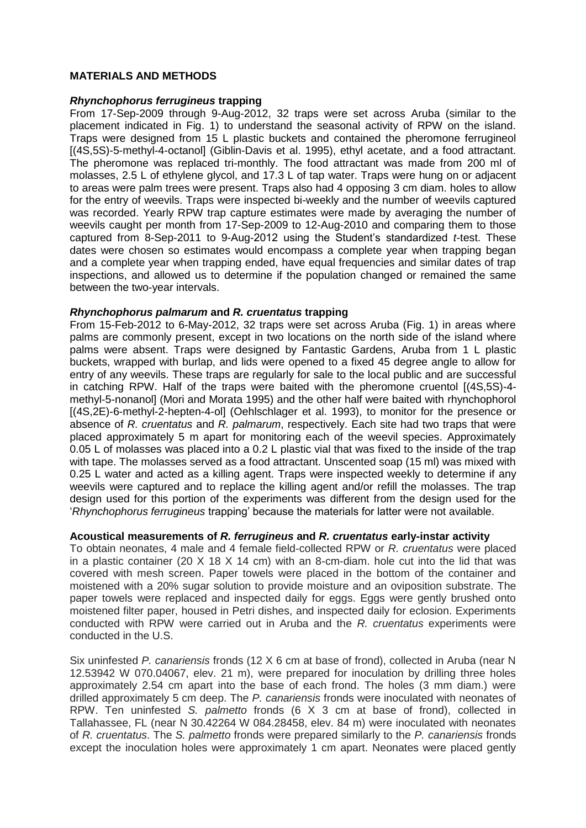## **MATERIALS AND METHODS**

#### *Rhynchophorus ferrugineus* **trapping**

From 17-Sep-2009 through 9-Aug-2012, 32 traps were set across Aruba (similar to the placement indicated in Fig. 1) to understand the seasonal activity of RPW on the island. Traps were designed from 15 L plastic buckets and contained the pheromone ferrugineol [(4S,5S)-5-methyl-4-octanol] (Giblin-Davis et al. 1995), ethyl acetate, and a food attractant. The pheromone was replaced tri-monthly. The food attractant was made from 200 ml of molasses, 2.5 L of ethylene glycol, and 17.3 L of tap water. Traps were hung on or adjacent to areas were palm trees were present. Traps also had 4 opposing 3 cm diam. holes to allow for the entry of weevils. Traps were inspected bi-weekly and the number of weevils captured was recorded. Yearly RPW trap capture estimates were made by averaging the number of weevils caught per month from 17-Sep-2009 to 12-Aug-2010 and comparing them to those captured from 8-Sep-2011 to 9-Aug-2012 using the Student's standardized *t*-test. These dates were chosen so estimates would encompass a complete year when trapping began and a complete year when trapping ended, have equal frequencies and similar dates of trap inspections, and allowed us to determine if the population changed or remained the same between the two-year intervals.

### *Rhynchophorus palmarum* **and** *R. cruentatus* **trapping**

From 15-Feb-2012 to 6-May-2012, 32 traps were set across Aruba (Fig. 1) in areas where palms are commonly present, except in two locations on the north side of the island where palms were absent. Traps were designed by Fantastic Gardens, Aruba from 1 L plastic buckets, wrapped with burlap, and lids were opened to a fixed 45 degree angle to allow for entry of any weevils. These traps are regularly for sale to the local public and are successful in catching RPW. Half of the traps were baited with the pheromone cruentol [(4S,5S)-4 methyl-5-nonanol] (Mori and Morata 1995) and the other half were baited with rhynchophorol [(4S,2E)-6-methyl-2-hepten-4-ol] (Oehlschlager et al. 1993), to monitor for the presence or absence of *R. cruentatus* and *R. palmarum*, respectively. Each site had two traps that were placed approximately 5 m apart for monitoring each of the weevil species. Approximately 0.05 L of molasses was placed into a 0.2 L plastic vial that was fixed to the inside of the trap with tape. The molasses served as a food attractant. Unscented soap (15 ml) was mixed with 0.25 L water and acted as a killing agent. Traps were inspected weekly to determine if any weevils were captured and to replace the killing agent and/or refill the molasses. The trap design used for this portion of the experiments was different from the design used for the '*Rhynchophorus ferrugineus* trapping' because the materials for latter were not available.

### **Acoustical measurements of** *R. ferrugineus* **and** *R. cruentatus* **early-instar activity**

To obtain neonates, 4 male and 4 female field-collected RPW or *R. cruentatus* were placed in a plastic container (20  $\times$  18  $\times$  14 cm) with an 8-cm-diam. hole cut into the lid that was covered with mesh screen. Paper towels were placed in the bottom of the container and moistened with a 20% sugar solution to provide moisture and an oviposition substrate. The paper towels were replaced and inspected daily for eggs. Eggs were gently brushed onto moistened filter paper, housed in Petri dishes, and inspected daily for eclosion. Experiments conducted with RPW were carried out in Aruba and the *R. cruentatus* experiments were conducted in the U.S.

Six uninfested *P. canariensis* fronds (12 X 6 cm at base of frond), collected in Aruba (near N 12.53942 W 070.04067, elev. 21 m), were prepared for inoculation by drilling three holes approximately 2.54 cm apart into the base of each frond. The holes (3 mm diam.) were drilled approximately 5 cm deep. The *P. canariensis* fronds were inoculated with neonates of RPW. Ten uninfested *S. palmetto* fronds (6 X 3 cm at base of frond), collected in Tallahassee, FL (near N 30.42264 W 084.28458, elev. 84 m) were inoculated with neonates of *R. cruentatus*. The *S. palmetto* fronds were prepared similarly to the *P. canariensis* fronds except the inoculation holes were approximately 1 cm apart. Neonates were placed gently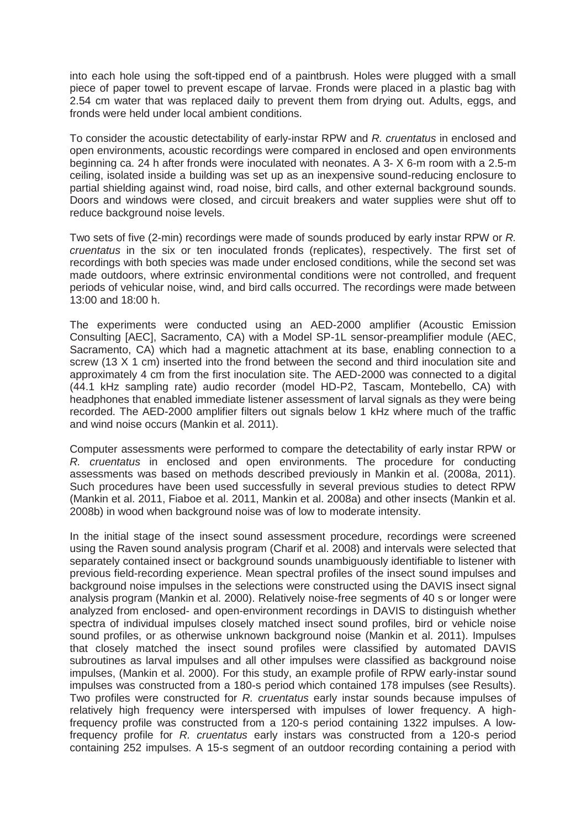into each hole using the soft-tipped end of a paintbrush. Holes were plugged with a small piece of paper towel to prevent escape of larvae. Fronds were placed in a plastic bag with 2.54 cm water that was replaced daily to prevent them from drying out. Adults, eggs, and fronds were held under local ambient conditions.

To consider the acoustic detectability of early-instar RPW and *R. cruentatus* in enclosed and open environments, acoustic recordings were compared in enclosed and open environments beginning ca. 24 h after fronds were inoculated with neonates. A 3- X 6-m room with a 2.5-m ceiling, isolated inside a building was set up as an inexpensive sound-reducing enclosure to partial shielding against wind, road noise, bird calls, and other external background sounds. Doors and windows were closed, and circuit breakers and water supplies were shut off to reduce background noise levels.

Two sets of five (2-min) recordings were made of sounds produced by early instar RPW or *R. cruentatus* in the six or ten inoculated fronds (replicates), respectively. The first set of recordings with both species was made under enclosed conditions, while the second set was made outdoors, where extrinsic environmental conditions were not controlled, and frequent periods of vehicular noise, wind, and bird calls occurred. The recordings were made between 13:00 and 18:00 h.

The experiments were conducted using an AED-2000 amplifier (Acoustic Emission Consulting [AEC], Sacramento, CA) with a Model SP-1L sensor-preamplifier module (AEC, Sacramento, CA) which had a magnetic attachment at its base, enabling connection to a screw (13 X 1 cm) inserted into the frond between the second and third inoculation site and approximately 4 cm from the first inoculation site. The AED-2000 was connected to a digital (44.1 kHz sampling rate) audio recorder (model HD-P2, Tascam, Montebello, CA) with headphones that enabled immediate listener assessment of larval signals as they were being recorded. The AED-2000 amplifier filters out signals below 1 kHz where much of the traffic and wind noise occurs (Mankin et al. 2011).

Computer assessments were performed to compare the detectability of early instar RPW or *R. cruentatus* in enclosed and open environments. The procedure for conducting assessments was based on methods described previously in Mankin et al. (2008a, 2011). Such procedures have been used successfully in several previous studies to detect RPW (Mankin et al. 2011, Fiaboe et al. 2011, Mankin et al. 2008a) and other insects (Mankin et al. 2008b) in wood when background noise was of low to moderate intensity.

In the initial stage of the insect sound assessment procedure, recordings were screened using the Raven sound analysis program (Charif et al. 2008) and intervals were selected that separately contained insect or background sounds unambiguously identifiable to listener with previous field-recording experience. Mean spectral profiles of the insect sound impulses and background noise impulses in the selections were constructed using the DAVIS insect signal analysis program (Mankin et al. 2000). Relatively noise-free segments of 40 s or longer were analyzed from enclosed- and open-environment recordings in DAVIS to distinguish whether spectra of individual impulses closely matched insect sound profiles, bird or vehicle noise sound profiles, or as otherwise unknown background noise (Mankin et al. 2011). Impulses that closely matched the insect sound profiles were classified by automated DAVIS subroutines as larval impulses and all other impulses were classified as background noise impulses, (Mankin et al. 2000). For this study, an example profile of RPW early-instar sound impulses was constructed from a 180-s period which contained 178 impulses (see Results). Two profiles were constructed for *R. cruentatus* early instar sounds because impulses of relatively high frequency were interspersed with impulses of lower frequency. A highfrequency profile was constructed from a 120-s period containing 1322 impulses. A lowfrequency profile for *R. cruentatus* early instars was constructed from a 120-s period containing 252 impulses. A 15-s segment of an outdoor recording containing a period with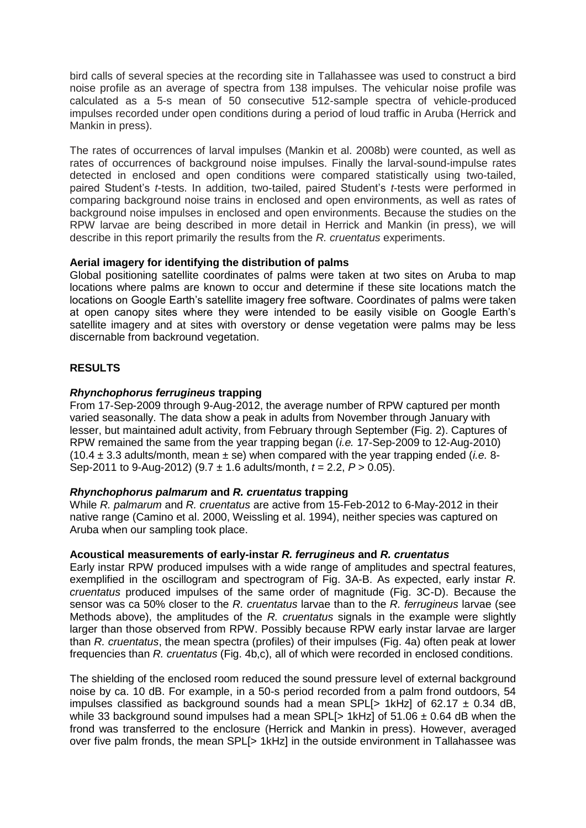bird calls of several species at the recording site in Tallahassee was used to construct a bird noise profile as an average of spectra from 138 impulses. The vehicular noise profile was calculated as a 5-s mean of 50 consecutive 512-sample spectra of vehicle-produced impulses recorded under open conditions during a period of loud traffic in Aruba (Herrick and Mankin in press).

The rates of occurrences of larval impulses (Mankin et al. 2008b) were counted, as well as rates of occurrences of background noise impulses. Finally the larval-sound-impulse rates detected in enclosed and open conditions were compared statistically using two-tailed, paired Student's *t*-tests. In addition, two-tailed, paired Student's *t*-tests were performed in comparing background noise trains in enclosed and open environments, as well as rates of background noise impulses in enclosed and open environments. Because the studies on the RPW larvae are being described in more detail in Herrick and Mankin (in press), we will describe in this report primarily the results from the *R. cruentatus* experiments.

# **Aerial imagery for identifying the distribution of palms**

Global positioning satellite coordinates of palms were taken at two sites on Aruba to map locations where palms are known to occur and determine if these site locations match the locations on Google Earth's satellite imagery free software. Coordinates of palms were taken at open canopy sites where they were intended to be easily visible on Google Earth's satellite imagery and at sites with overstory or dense vegetation were palms may be less discernable from backround vegetation.

# **RESULTS**

# *Rhynchophorus ferrugineus* **trapping**

From 17-Sep-2009 through 9-Aug-2012, the average number of RPW captured per month varied seasonally. The data show a peak in adults from November through January with lesser, but maintained adult activity, from February through September (Fig. 2). Captures of RPW remained the same from the year trapping began (*i.e.* 17-Sep-2009 to 12-Aug-2010)  $(10.4 \pm 3.3$  adults/month, mean  $\pm$  se) when compared with the year trapping ended (*i.e.* 8-Sep-2011 to 9-Aug-2012) (9.7 ± 1.6 adults/month, *t* = 2.2, *P* > 0.05).

# *Rhynchophorus palmarum* **and** *R. cruentatus* **trapping**

While *R. palmarum* and *R. cruentatus* are active from 15-Feb-2012 to 6-May-2012 in their native range (Camino et al. 2000, Weissling et al. 1994), neither species was captured on Aruba when our sampling took place.

# **Acoustical measurements of early-instar** *R. ferrugineus* **and** *R. cruentatus*

Early instar RPW produced impulses with a wide range of amplitudes and spectral features, exemplified in the oscillogram and spectrogram of Fig. 3A-B. As expected, early instar *R. cruentatus* produced impulses of the same order of magnitude (Fig. 3C-D). Because the sensor was ca 50% closer to the *R. cruentatus* larvae than to the *R. ferrugineus* larvae (see Methods above), the amplitudes of the *R. cruentatus* signals in the example were slightly larger than those observed from RPW. Possibly because RPW early instar larvae are larger than *R. cruentatus*, the mean spectra (profiles) of their impulses (Fig. 4a) often peak at lower frequencies than *R. cruentatus* (Fig. 4b,c), all of which were recorded in enclosed conditions.

The shielding of the enclosed room reduced the sound pressure level of external background noise by ca. 10 dB. For example, in a 50-s period recorded from a palm frond outdoors, 54 impulses classified as background sounds had a mean SPL[> 1kHz] of 62.17  $\pm$  0.34 dB, while 33 background sound impulses had a mean SPL[ $> 1$ kHz] of 51.06  $\pm$  0.64 dB when the frond was transferred to the enclosure (Herrick and Mankin in press). However, averaged over five palm fronds, the mean SPL[> 1kHz] in the outside environment in Tallahassee was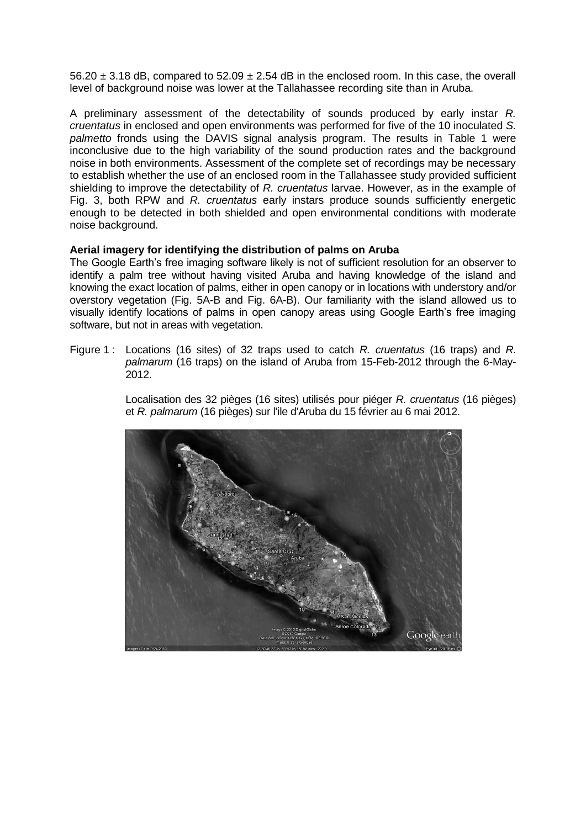$56.20 \pm 3.18$  dB, compared to  $52.09 \pm 2.54$  dB in the enclosed room. In this case, the overall level of background noise was lower at the Tallahassee recording site than in Aruba.

A preliminary assessment of the detectability of sounds produced by early instar *R. cruentatus* in enclosed and open environments was performed for five of the 10 inoculated *S. palmetto* fronds using the DAVIS signal analysis program. The results in Table 1 were inconclusive due to the high variability of the sound production rates and the background noise in both environments. Assessment of the complete set of recordings may be necessary to establish whether the use of an enclosed room in the Tallahassee study provided sufficient shielding to improve the detectability of *R. cruentatus* larvae. However, as in the example of Fig. 3, both RPW and *R. cruentatus* early instars produce sounds sufficiently energetic enough to be detected in both shielded and open environmental conditions with moderate noise background.

## **Aerial imagery for identifying the distribution of palms on Aruba**

The Google Earth's free imaging software likely is not of sufficient resolution for an observer to identify a palm tree without having visited Aruba and having knowledge of the island and knowing the exact location of palms, either in open canopy or in locations with understory and/or overstory vegetation (Fig. 5A-B and Fig. 6A-B). Our familiarity with the island allowed us to visually identify locations of palms in open canopy areas using Google Earth's free imaging software, but not in areas with vegetation.

Figure 1 : Locations (16 sites) of 32 traps used to catch *R. cruentatus* (16 traps) and *R. palmarum* (16 traps) on the island of Aruba from 15-Feb-2012 through the 6-May-2012.

> Localisation des 32 pièges (16 sites) utilisés pour piéger *R. cruentatus* (16 pièges) et *R. palmarum* (16 pièges) sur l'ile d'Aruba du 15 février au 6 mai 2012.

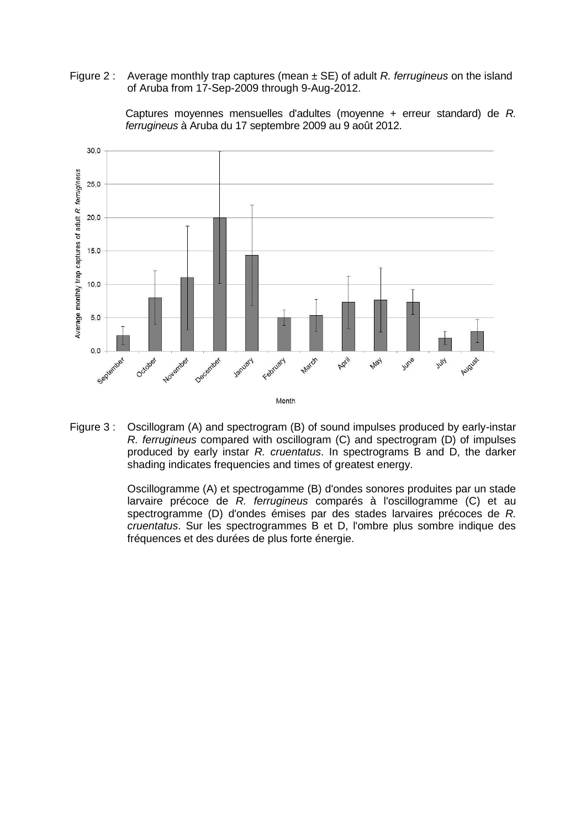Figure 2 : Average monthly trap captures (mean ± SE) of adult *R. ferrugineus* on the island of Aruba from 17-Sep-2009 through 9-Aug-2012.



Captures moyennes mensuelles d'adultes (moyenne + erreur standard) de *R. ferrugineus* à Aruba du 17 septembre 2009 au 9 août 2012.

Figure 3 : Oscillogram (A) and spectrogram (B) of sound impulses produced by early-instar *R. ferrugineus* compared with oscillogram (C) and spectrogram (D) of impulses produced by early instar *R. cruentatus*. In spectrograms B and D, the darker shading indicates frequencies and times of greatest energy.

> Oscillogramme (A) et spectrogamme (B) d'ondes sonores produites par un stade larvaire précoce de *R. ferrugineus* comparés à l'oscillogramme (C) et au spectrogramme (D) d'ondes émises par des stades larvaires précoces de *R. cruentatus*. Sur les spectrogrammes B et D, l'ombre plus sombre indique des fréquences et des durées de plus forte énergie.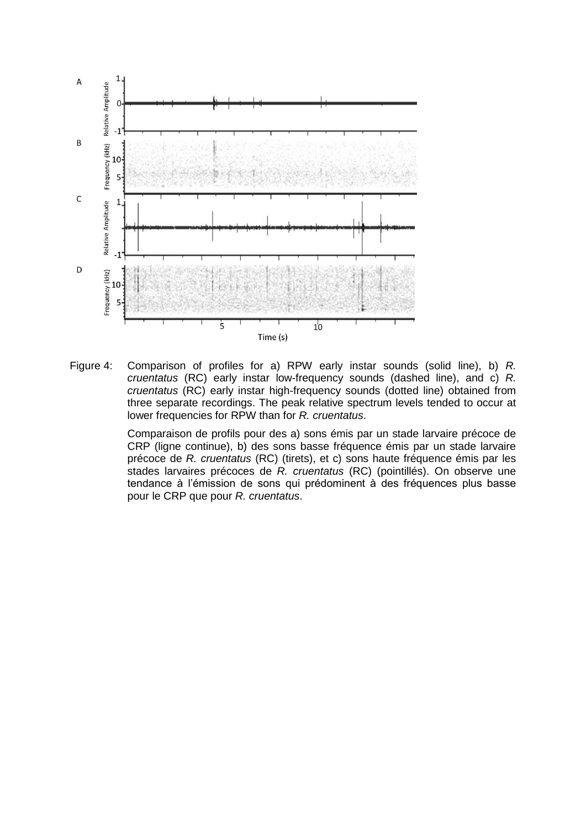

Figure 4: Comparison of profiles for a) RPW early instar sounds (solid line), b) *R. cruentatus* (RC) early instar low-frequency sounds (dashed line), and c) *R. cruentatus* (RC) early instar high-frequency sounds (dotted line) obtained from three separate recordings. The peak relative spectrum levels tended to occur at lower frequencies for RPW than for *R. cruentatus*.

Comparaison de profils pour des a) sons émis par un stade larvaire précoce de CRP (ligne continue), b) des sons basse fréquence émis par un stade larvaire précoce de *R. cruentatus* (RC) (tirets), et c) sons haute fréquence émis par les stades larvaires précoces de *R. cruentatus* (RC) (pointillés). On observe une tendance à l'émission de sons qui prédominent à des fréquences plus basse pour le CRP que pour *R. cruentatus*.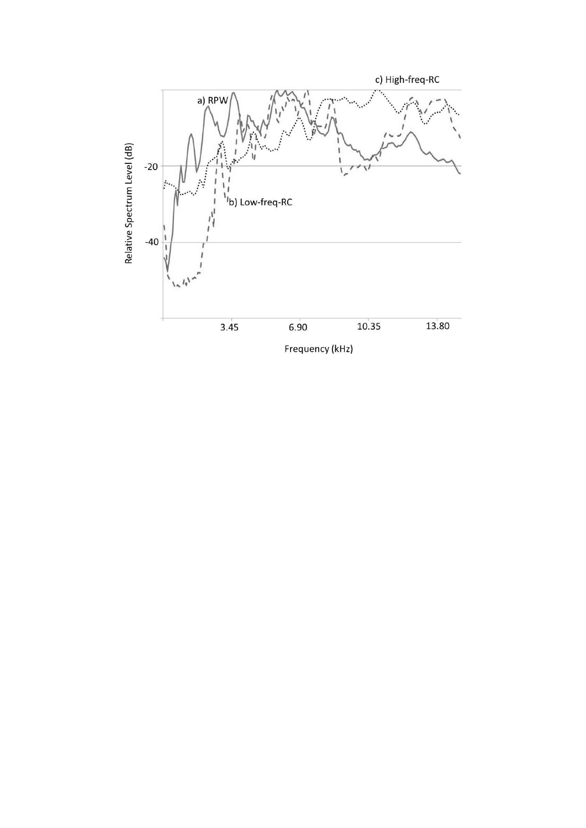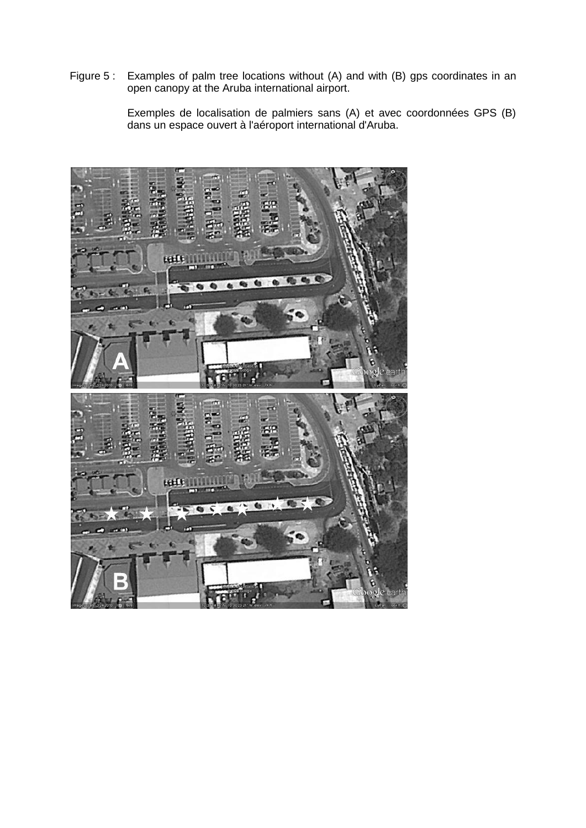Figure 5 : Examples of palm tree locations without (A) and with (B) gps coordinates in an open canopy at the Aruba international airport.

> Exemples de localisation de palmiers sans (A) et avec coordonnées GPS (B) dans un espace ouvert à l'aéroport international d'Aruba.

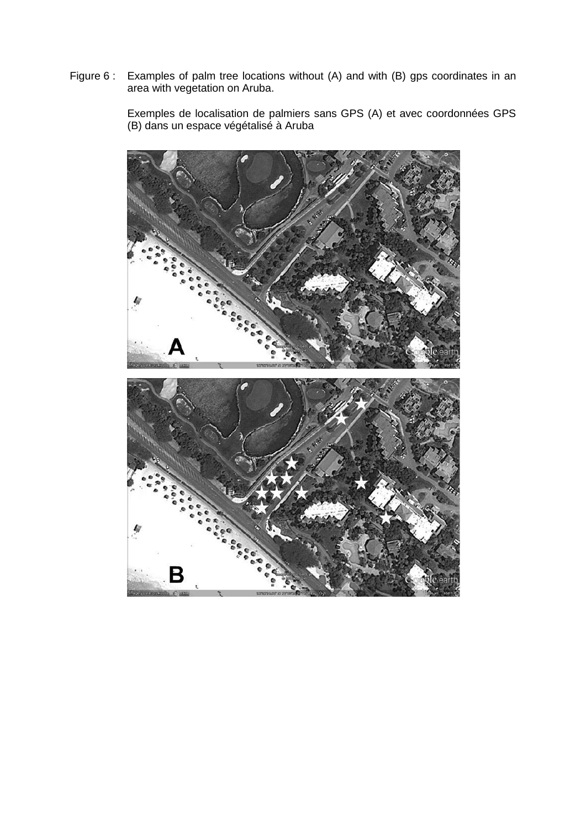Figure 6 : Examples of palm tree locations without (A) and with (B) gps coordinates in an area with vegetation on Aruba.

> Exemples de localisation de palmiers sans GPS (A) et avec coordonnées GPS (B) dans un espace végétalisé à Aruba

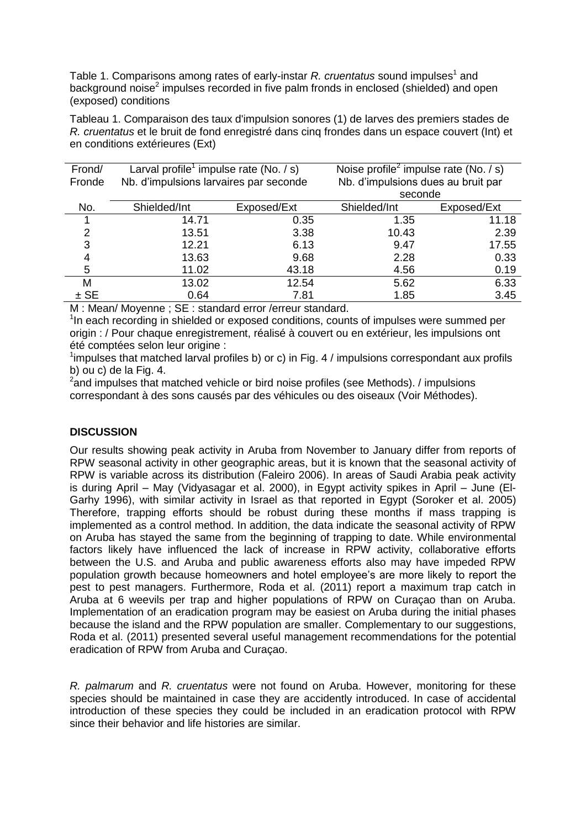Table 1. Comparisons among rates of early-instar *R. cruentatus* sound impulses<sup>1</sup> and background noise<sup>2</sup> impulses recorded in five palm fronds in enclosed (shielded) and open (exposed) conditions

Tableau 1. Comparaison des taux d'impulsion sonores (1) de larves des premiers stades de *R. cruentatus* et le bruit de fond enregistré dans cinq frondes dans un espace couvert (Int) et en conditions extérieures (Ext)

| Frond/ | Larval profile <sup>1</sup> impulse rate (No. $/ s$ ) |             | Noise profile <sup>2</sup> impulse rate (No. / s) |             |
|--------|-------------------------------------------------------|-------------|---------------------------------------------------|-------------|
| Fronde | Nb. d'impulsions larvaires par seconde                |             | Nb. d'impulsions dues au bruit par                |             |
|        |                                                       |             | seconde                                           |             |
| No.    | Shielded/Int                                          | Exposed/Ext | Shielded/Int                                      | Exposed/Ext |
|        | 14.71                                                 | 0.35        | 1.35                                              | 11.18       |
| 2      | 13.51                                                 | 3.38        | 10.43                                             | 2.39        |
| 3      | 12.21                                                 | 6.13        | 9.47                                              | 17.55       |
| 4      | 13.63                                                 | 9.68        | 2.28                                              | 0.33        |
| 5      | 11.02                                                 | 43.18       | 4.56                                              | 0.19        |
| М      | 13.02                                                 | 12.54       | 5.62                                              | 6.33        |
| $±$ SE | 0.64                                                  | 7.81        | 1.85                                              | 3.45        |

M : Mean/ Moyenne ; SE : standard error /erreur standard.

<sup>1</sup>In each recording in shielded or exposed conditions, counts of impulses were summed per origin : / Pour chaque enregistrement, réalisé à couvert ou en extérieur, les impulsions ont été comptées selon leur origine :

<sup>1</sup>impulses that matched larval profiles b) or c) in Fig. 4 / impulsions correspondant aux profils b) ou c) de la Fig. 4.

 $^2$ and impulses that matched vehicle or bird noise profiles (see Methods). / impulsions correspondant à des sons causés par des véhicules ou des oiseaux (Voir Méthodes).

# **DISCUSSION**

Our results showing peak activity in Aruba from November to January differ from reports of RPW seasonal activity in other geographic areas, but it is known that the seasonal activity of RPW is variable across its distribution (Faleiro 2006). In areas of Saudi Arabia peak activity is during April – May (Vidyasagar et al. 2000), in Egypt activity spikes in April – June (El-Garhy 1996), with similar activity in Israel as that reported in Egypt (Soroker et al. 2005) Therefore, trapping efforts should be robust during these months if mass trapping is implemented as a control method. In addition, the data indicate the seasonal activity of RPW on Aruba has stayed the same from the beginning of trapping to date. While environmental factors likely have influenced the lack of increase in RPW activity, collaborative efforts between the U.S. and Aruba and public awareness efforts also may have impeded RPW population growth because homeowners and hotel employee's are more likely to report the pest to pest managers. Furthermore, Roda et al. (2011) report a maximum trap catch in Aruba at 6 weevils per trap and higher populations of RPW on Curaçao than on Aruba. Implementation of an eradication program may be easiest on Aruba during the initial phases because the island and the RPW population are smaller. Complementary to our suggestions, Roda et al. (2011) presented several useful management recommendations for the potential eradication of RPW from Aruba and Curaçao.

*R. palmarum* and *R. cruentatus* were not found on Aruba. However, monitoring for these species should be maintained in case they are accidently introduced. In case of accidental introduction of these species they could be included in an eradication protocol with RPW since their behavior and life histories are similar.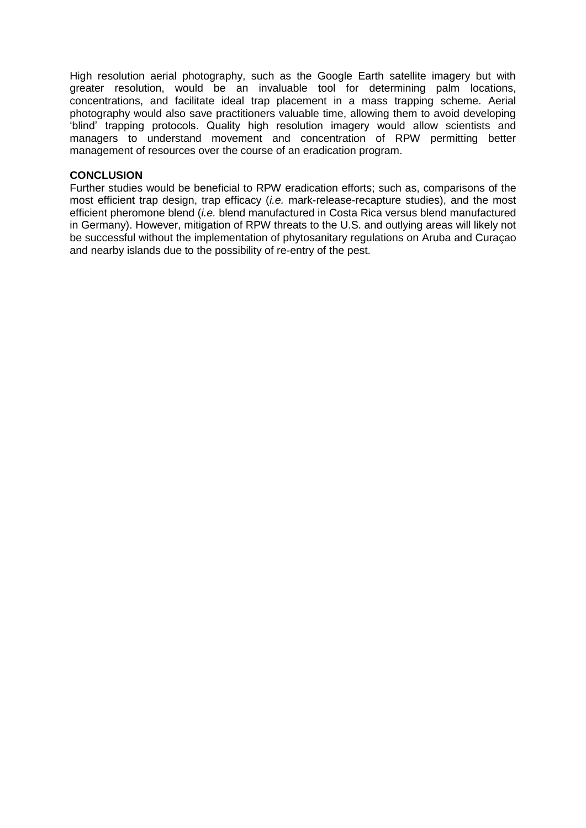High resolution aerial photography, such as the Google Earth satellite imagery but with greater resolution, would be an invaluable tool for determining palm locations, concentrations, and facilitate ideal trap placement in a mass trapping scheme. Aerial photography would also save practitioners valuable time, allowing them to avoid developing 'blind' trapping protocols. Quality high resolution imagery would allow scientists and managers to understand movement and concentration of RPW permitting better management of resources over the course of an eradication program.

### **CONCLUSION**

Further studies would be beneficial to RPW eradication efforts; such as, comparisons of the most efficient trap design, trap efficacy (*i.e.* mark-release-recapture studies), and the most efficient pheromone blend (*i.e.* blend manufactured in Costa Rica versus blend manufactured in Germany). However, mitigation of RPW threats to the U.S. and outlying areas will likely not be successful without the implementation of phytosanitary regulations on Aruba and Curaçao and nearby islands due to the possibility of re-entry of the pest.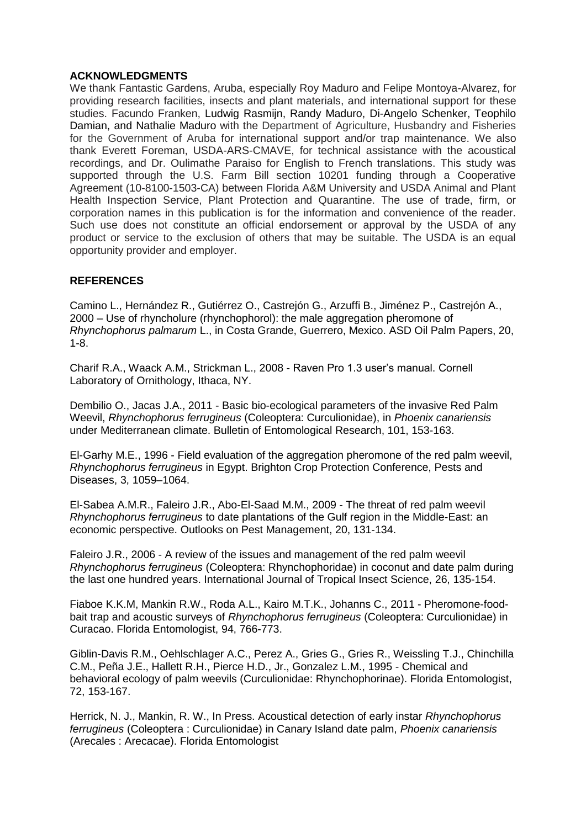## **ACKNOWLEDGMENTS**

We thank Fantastic Gardens, Aruba, especially Roy Maduro and Felipe Montoya-Alvarez, for providing research facilities, insects and plant materials, and international support for these studies. Facundo Franken, Ludwig Rasmijn, Randy Maduro, Di-Angelo Schenker, Teophilo Damian, and Nathalie Maduro with the Department of Agriculture, Husbandry and Fisheries for the Government of Aruba for international support and/or trap maintenance. We also thank Everett Foreman, USDA-ARS-CMAVE, for technical assistance with the acoustical recordings, and Dr. Oulimathe Paraiso for English to French translations. This study was supported through the U.S. Farm Bill section 10201 funding through a Cooperative Agreement (10-8100-1503-CA) between Florida A&M University and USDA Animal and Plant Health Inspection Service, Plant Protection and Quarantine. The use of trade, firm, or corporation names in this publication is for the information and convenience of the reader. Such use does not constitute an official endorsement or approval by the USDA of any product or service to the exclusion of others that may be suitable. The USDA is an equal opportunity provider and employer.

# **REFERENCES**

Camino L., Hernández R., Gutiérrez O., Castrejón G., Arzuffi B., Jiménez P., Castrejón A., 2000 – Use of rhyncholure (rhynchophorol): the male aggregation pheromone of *Rhynchophorus palmarum* L., in Costa Grande, Guerrero, Mexico. ASD Oil Palm Papers, 20, 1-8.

Charif R.A., Waack A.M., Strickman L., 2008 - Raven Pro 1.3 user's manual. Cornell Laboratory of Ornithology, Ithaca, NY.

Dembilio O., Jacas J.A., 2011 - Basic bio-ecological parameters of the invasive Red Palm Weevil, *Rhynchophorus ferrugineus* (Coleoptera: Curculionidae), in *Phoenix canariensis* under Mediterranean climate. Bulletin of Entomological Research, 101, 153-163.

El-Garhy M.E., 1996 - Field evaluation of the aggregation pheromone of the red palm weevil, *Rhynchophorus ferrugineus* in Egypt. Brighton Crop Protection Conference, Pests and Diseases, 3, 1059–1064.

El-Sabea A.M.R., Faleiro J.R., Abo-El-Saad M.M., 2009 - The threat of red palm weevil *Rhynchophorus ferrugineus* to date plantations of the Gulf region in the Middle-East: an economic perspective. Outlooks on Pest Management, 20, 131-134.

Faleiro J.R., 2006 - A review of the issues and management of the red palm weevil *Rhynchophorus ferrugineus* (Coleoptera: Rhynchophoridae) in coconut and date palm during the last one hundred years. International Journal of Tropical Insect Science, 26, 135-154.

Fiaboe K.K.M, Mankin R.W., Roda A.L., Kairo M.T.K., Johanns C., 2011 - Pheromone-foodbait trap and acoustic surveys of *Rhynchophorus ferrugineus* (Coleoptera: Curculionidae) in Curacao. Florida Entomologist, 94, 766-773.

Giblin-Davis R.M., Oehlschlager A.C., Perez A., Gries G., Gries R., Weissling T.J., Chinchilla C.M., Peña J.E., Hallett R.H., Pierce H.D., Jr., Gonzalez L.M., 1995 - Chemical and behavioral ecology of palm weevils (Curculionidae: Rhynchophorinae). Florida Entomologist, 72, 153-167.

Herrick, N. J., Mankin, R. W., In Press. Acoustical detection of early instar *Rhynchophorus ferrugineus* (Coleoptera : Curculionidae) in Canary Island date palm, *Phoenix canariensis* (Arecales : Arecacae). Florida Entomologist